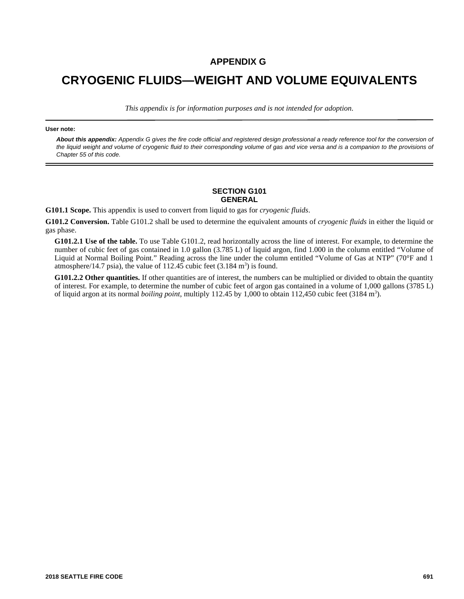## **APPENDIX G**

## **CRYOGENIC FLUIDS—WEIGHT AND VOLUME EQUIVALENTS**

*This appendix is for information purposes and is not intended for adoption.*

## **User note:**

*About this appendix: Appendix G gives the fire code official and registered design professional a ready reference tool for the conversion of the liquid weight and volume of cryogenic fluid to their corresponding volume of gas and vice versa and is a companion to the provisions of Chapter 55 of this code.*

## **SECTION G101 GENERAL**

**G101.1 Scope.** This appendix is used to convert from liquid to gas for *cryogenic fluids*.

**G101.2 Conversion.** Table G101.2 shall be used to determine the equivalent amounts of *cryogenic fluids* in either the liquid or gas phase.

**G101.2.1 Use of the table.** To use Table G101.2, read horizontally across the line of interest. For example, to determine the number of cubic feet of gas contained in 1.0 gallon (3.785 L) of liquid argon, find 1.000 in the column entitled "Volume of Liquid at Normal Boiling Point*.*" Reading across the line under the column entitled "Volume of Gas at NTP" (70°F and 1 atmosphere/14.7 psia), the value of 112.45 cubic feet  $(3.184 \text{ m}^3)$  is found.

**G101.2.2 Other quantities.** If other quantities are of interest, the numbers can be multiplied or divided to obtain the quantity of interest. For example, to determine the number of cubic feet of argon gas contained in a volume of 1,000 gallons (3785 L) of liquid argon at its normal *boiling point*, multiply 112.45 by 1,000 to obtain 112,450 cubic feet (3184 m<sup>3</sup>).